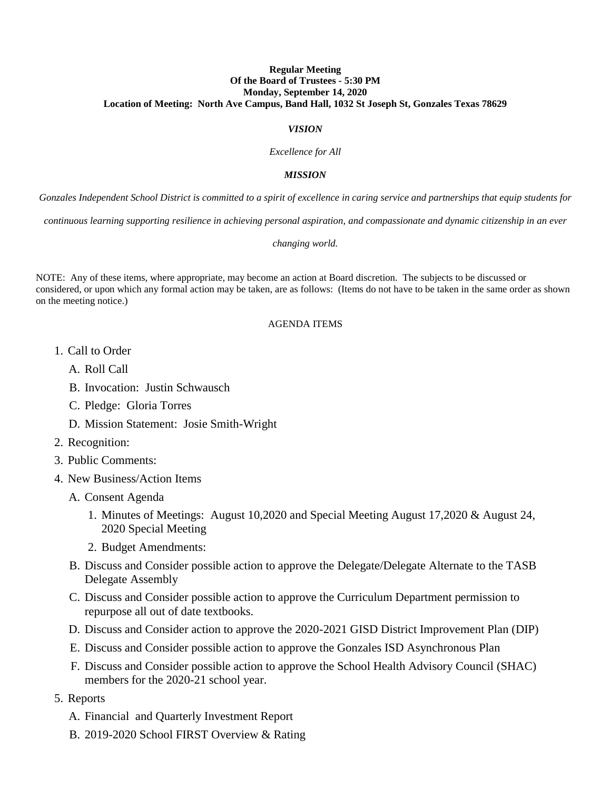# **Regular Meeting Of the Board of Trustees - 5:30 PM Monday, September 14, 2020 Location of Meeting: North Ave Campus, Band Hall, 1032 St Joseph St, Gonzales Texas 78629**

# *VISION*

*Excellence for All*

### *MISSION*

*Gonzales Independent School District is committed to a spirit of excellence in caring service and partnerships that equip students for* 

*continuous learning supporting resilience in achieving personal aspiration, and compassionate and dynamic citizenship in an ever* 

#### *changing world.*

NOTE: Any of these items, where appropriate, may become an action at Board discretion. The subjects to be discussed or considered, or upon which any formal action may be taken, are as follows: (Items do not have to be taken in the same order as shown on the meeting notice.)

# AGENDA ITEMS

- 1. Call to Order
	- A. Roll Call
	- B. Invocation: Justin Schwausch
	- C. Pledge: Gloria Torres
	- D. Mission Statement: Josie Smith-Wright
- 2. Recognition:
- 3. Public Comments:
- 4. New Business/Action Items
	- A. Consent Agenda
		- 1. Minutes of Meetings: August 10,2020 and Special Meeting August 17,2020 & August 24, 2020 Special Meeting
		- 2. Budget Amendments:
	- B. Discuss and Consider possible action to approve the Delegate/Delegate Alternate to the TASB Delegate Assembly
	- C. Discuss and Consider possible action to approve the Curriculum Department permission to repurpose all out of date textbooks.
	- D. Discuss and Consider action to approve the 2020-2021 GISD District Improvement Plan (DIP)
	- E. Discuss and Consider possible action to approve the Gonzales ISD Asynchronous Plan
	- F. Discuss and Consider possible action to approve the School Health Advisory Council (SHAC) members for the 2020-21 school year.
- 5. Reports
	- A. Financial and Quarterly Investment Report
	- B. 2019-2020 School FIRST Overview & Rating